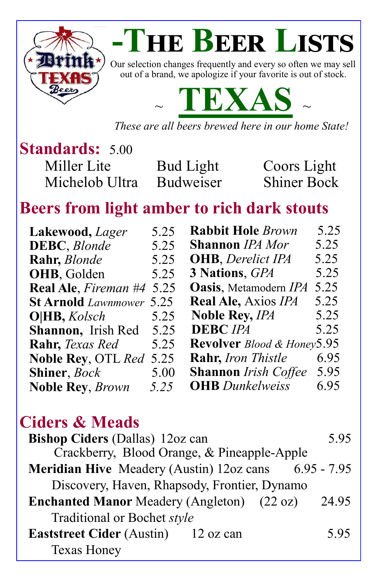

# **-The Beer Lists**

Our selection changes frequently and every so often we may sell out of a brand, we apologize if your favorite is out of stock.



*These are all beers brewed here in our home State!*

### **Standards:** 5.00 Miller Lite Bud Light Coors Light

Michelob Ultra Budweiser Shiner Bock

# **Beers from light amber to rich dark stouts**

| 5.25<br><b>Rabbit Hole Brown</b><br>5.25<br>Lakewood, <i>Lager</i>           |      |
|------------------------------------------------------------------------------|------|
| 5.25<br><b>Shannon</b> IPA Mor<br><b>DEBC</b> , <i>Blonde</i><br>5.25        |      |
| 5.25<br><b>OHB</b> , Derelict IPA<br>5.25<br>Rahr, Blonde                    |      |
| 3 Nations, GPA<br>5.25<br>OHB, Golden                                        | 5.25 |
| 5.25<br><b>Oasis</b> , Metamodern IPA<br><b>Real Ale, Fireman #4</b><br>5.25 |      |
| 5.25<br><b>Real Ale, Axios IPA</b><br><b>St Arnold</b> Lawnmower<br>5.25     |      |
| <b>Noble Rey, IPA</b><br>O HB, Kolsch<br>5.25                                | 5.25 |
| <b>DEBC</b> IPA<br>Shannon, Irish Red<br>5.25                                | 5.25 |
| Revolver Blood & Honey5.95<br><b>Rahr</b> , <i>Texas Red</i><br>5.25         |      |
| <b>Rahr, Iron Thistle</b><br><b>Noble Rey, OTL Red</b><br>5.25               | 6.95 |
| <b>Shannon</b> Irish Coffee<br>5.00<br><b>Shiner</b> , <i>Bock</i>           | 5.95 |
| <b>OHB</b> Dunkelweiss<br>5.25<br><b>Noble Rey, Brown</b>                    | 6.95 |

### **Ciders & Meads**

| <b>Bishop Ciders (Dallas) 12oz can</b>                      | 5.95  |
|-------------------------------------------------------------|-------|
| Crackberry, Blood Orange, & Pineapple-Apple                 |       |
| <b>Meridian Hive</b> Meadery (Austin) 12oz cans 6.95 - 7.95 |       |
| Discovery, Haven, Rhapsody, Frontier, Dynamo                |       |
| <b>Enchanted Manor</b> Meadery (Angleton) (22 oz)           | 24.95 |
| Traditional or Bochet style                                 |       |
| <b>Eaststreet Cider</b> (Austin) 12 oz can                  | 5.95  |
| <b>Texas Honey</b>                                          |       |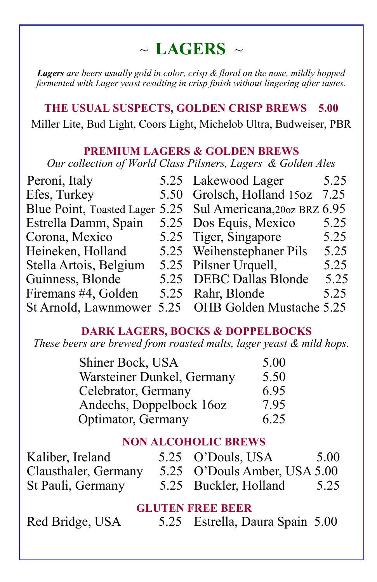### $\sim$  **LAGERS**  $\sim$

*Lagers are beers usually gold in color, crisp & floral on the nose, mildly hopped fermented with Lager yeast resulting in crisp finish without lingering after tastes.*

**THE USUAL SUSPECTS, GOLDEN CRISP BREWS 5.00** Miller Lite, Bud Light, Coors Light, Michelob Ultra, Budweiser, PBR

#### **PREMIUM LAGERS & GOLDEN BREWS**

*Our collection of World Class Pilsners, Lagers & Golden Ales*

| Peroni, Italy          |      | 5.25 Lakewood Lager                                          | 5.25 |
|------------------------|------|--------------------------------------------------------------|------|
| Efes, Turkey           |      | 5.50 Grolsch, Holland 15oz                                   | 7.25 |
|                        |      | Blue Point, Toasted Lager 5.25 Sul Americana, 200 z BRZ 6.95 |      |
| Estrella Damm, Spain   |      | 5.25 Dos Equis, Mexico                                       | 5.25 |
| Corona, Mexico         |      | 5.25 Tiger, Singapore                                        | 5.25 |
| Heineken, Holland      |      | 5.25 Weihenstephaner Pils                                    | 5.25 |
| Stella Artois, Belgium |      | 5.25 Pilsner Urquell,                                        | 5.25 |
| Guinness, Blonde       |      | 5.25 DEBC Dallas Blonde                                      | 5.25 |
| Firemans #4, Golden    |      | 5.25 Rahr, Blonde                                            | 5.25 |
| St Arnold, Lawnmower   | 5.25 | OHB Golden Mustache 5.25                                     |      |

#### **DARK LAGERS, BOCKS & DOPPELBOCKS**

*These beers are brewed from roasted malts, lager yeast & mild hops.* 

| Shiner Bock, USA           | 5.00 |
|----------------------------|------|
| Warsteiner Dunkel, Germany | 5.50 |
| Celebrator, Germany        | 6.95 |
| Andechs, Doppelbock 16oz   | 7.95 |
| Optimator, Germany         | 6.25 |

### **NON ALCOHOLIC BREWS**

| Kaliber, Ireland     | 5.25 O'Douls, USA            | 5.00 |
|----------------------|------------------------------|------|
| Clausthaler, Germany | 5.25 O'Douls Amber, USA 5.00 |      |
| St Pauli, Germany    | 5.25 Buckler, Holland        | 5.25 |

### **GLUTEN FREE BEER**

Red Bridge, USA 5.25 Estrella, Daura Spain 5.00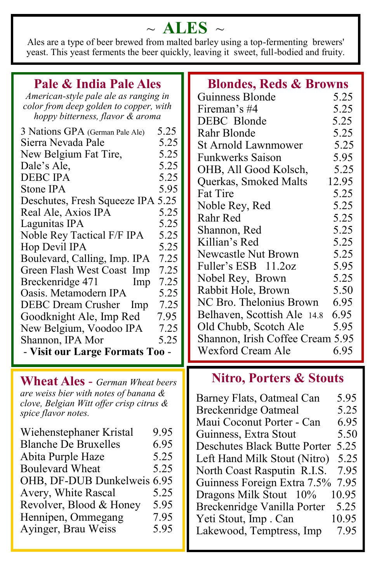# $\sim$  ALES  $\sim$

Ales are a type of beer brewed from malted barley using a top-fermenting brewers' yeast. This yeast ferments the beer quickly, leaving it sweet, full-bodied and fruity.

| Pale & India Pale Ales                       | <b>Blondes, Reds &amp; Browns</b>   |  |  |
|----------------------------------------------|-------------------------------------|--|--|
| American-style pale ale as ranging in        | Guinness Blonde<br>5.25             |  |  |
| color from deep golden to copper, with       | 5.25<br>Fireman's #4                |  |  |
| hoppy bitterness, flavor & aroma             | DEBC Blonde<br>5.25                 |  |  |
| 3 Nations GPA (German Pale Ale)              | Rahr Blonde                         |  |  |
| 5.25                                         | 5.25                                |  |  |
| 5.25                                         | <b>St Arnold Lawnmower</b>          |  |  |
| Sierra Nevada Pale                           | 5.25                                |  |  |
| 5.25                                         | <b>Funkwerks Saison</b>             |  |  |
| New Belgium Fat Tire,                        | 5.95                                |  |  |
| 5.25                                         | 5.25                                |  |  |
| Dale's Ale,                                  | OHB, All Good Kolsch,               |  |  |
| <b>DEBC IPA</b>                              | 12.95                               |  |  |
| 5.25                                         | Querkas, Smoked Malts               |  |  |
| Stone IPA                                    | <b>Fat Tire</b>                     |  |  |
| 5.95                                         | 5.25                                |  |  |
| Deschutes, Fresh Squeeze IPA 5.25            | 5.25                                |  |  |
| 5.25                                         | Noble Rey, Red                      |  |  |
| Real Ale, Axios IPA<br>5.25<br>Lagunitas IPA | 5.25<br>Rahr Red                    |  |  |
| 5.25                                         | 5.25                                |  |  |
| Noble Rey Tactical F/F IPA                   | Shannon, Red                        |  |  |
| 5.25                                         | 5.25                                |  |  |
| Hop Devil IPA                                | Killian's Red                       |  |  |
| 7.25                                         | 5.25                                |  |  |
| Boulevard, Calling, Imp. IPA                 | <b>Newcastle Nut Brown</b>          |  |  |
| 7.25                                         | Fuller's ESB 11.2oz                 |  |  |
| Green Flash West Coast Imp                   | 5.95                                |  |  |
| 7.25<br>Breckenridge 471<br>Imp              | 5.25<br>Nobel Rey, Brown            |  |  |
| Oasis. Metamodern IPA                        | 5.50                                |  |  |
| 5.25                                         | Rabbit Hole, Brown                  |  |  |
| <b>DEBC Dream Crusher</b><br>7.25<br>Imp     | NC Bro. Thelonius Brown<br>6.95     |  |  |
| 7.95                                         | 6.95                                |  |  |
| Goodknight Ale, Imp Red                      | Belhaven, Scottish Ale 14.8         |  |  |
| 7.25                                         | 5.95                                |  |  |
| New Belgium, Voodoo IPA                      | Old Chubb, Scotch Ale               |  |  |
| 5.25<br>Shannon, IPA Mor                     | Shannon, Irish Coffee Cream 5.95    |  |  |
| - Visit our Large Formats Too -              | <b>Wexford Cream Ale</b><br>6.95    |  |  |
| <b>Wheat Ales</b> - German Wheat beers       | <b>Nitro, Porters &amp; Stouts</b>  |  |  |
| are weiss bier with notes of banana $\&$     |                                     |  |  |
| clove, Belgian Witt offer crisp citrus &     | 5.95<br>Barney Flats, Oatmeal Can   |  |  |
| spice flavor notes.                          | 5.25<br><b>Breckenridge Oatmeal</b> |  |  |
|                                              | Maui Coconut Porter - Can<br>6.95   |  |  |
| 9.95                                         | 5.50                                |  |  |
| Wiehenstephaner Kristal                      | Guinness, Extra Stout               |  |  |
| <b>Blanche De Bruxelles</b>                  | 5.25                                |  |  |
| 6.95                                         | <b>Deschutes Black Butte Porter</b> |  |  |
| 5.25                                         | 5.25                                |  |  |
| Abita Purple Haze                            | Left Hand Milk Stout (Nitro)        |  |  |
| 5.25                                         | 7.95                                |  |  |
| <b>Boulevard Wheat</b>                       | North Coast Rasputin R.I.S.         |  |  |
| OHB, DF-DUB Dunkelweis 6.95                  | 7.95                                |  |  |
| 5.25                                         | Guinness Foreign Extra 7.5%         |  |  |
| Avery, White Rascal                          | 10.95<br>Dragons Milk Stout 10%     |  |  |
| 5.95<br>Revolver, Blood & Honey<br>7.95      | 5.25<br>Breckenridge Vanilla Porter |  |  |
| Hennipen, Ommegang                           | 10.95<br>Yeti Stout, Imp. Can       |  |  |
| 5.95                                         | 7.95                                |  |  |
| Ayinger, Brau Weiss                          | Lakewood, Temptress, Imp            |  |  |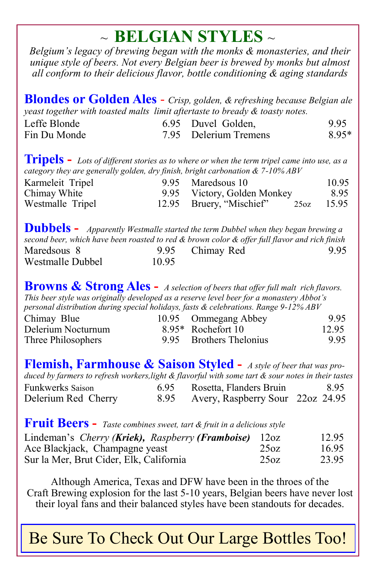# ~ **BELGIAN STYLES** ~

*Belgium's legacy of brewing began with the monks & monasteries, and their unique style of beers. Not every Belgian beer is brewed by monks but almost all conform to their delicious flavor, bottle conditioning & aging standards*

**Blondes or Golden Ales** - *Crisp, golden, & refreshing because Belgian ale yeast together with toasted malts limit aftertaste to bready & toasty notes.*

| Leffe Blonde | 6.95 Duvel Golden,    | 9.95  |
|--------------|-----------------------|-------|
| Fin Du Monde | 7.95 Delerium Tremens | 8.95* |

**Tripels -** *Lots of different stories as to where or when the term tripel came into use, as a category they are generally golden, dry finish, bright carbonation & 7-10% ABV*

| Karmeleit Tripel | 9.95 Maredsous 10                   | 10.95 |
|------------------|-------------------------------------|-------|
| Chimay White     | 9.95 Victory, Golden Monkey         | 8.95  |
| Westmalle Tripel | 12.95 Bruery, "Mischief" 25oz 15.95 |       |

**Dubbels -** *Apparently Westmalle started the term Dubbel when they began brewing a second beer, which have been roasted to red & brown color & offer full flavor and rich finish*  Maredsous 8 9.95 Chimay Red 9.95 Westmalle Dubbel 10.95

**Browns & Strong Ales -** *A selection of beers that offer full malt rich flavors. This beer style was originally developed as a reserve level beer for a monastery Abbot's personal distribution during special holidays, fasts & celebrations. Range 9-12% ABV*

| Chimay Blue        | 10.95 Ommegang Abbey    | 9.95  |
|--------------------|-------------------------|-------|
| Delerium Nocturnum | 8.95* Rochefort 10      | 12.95 |
| Three Philosophers | 9.95 Brothers Thelonius | 9.95  |

**Flemish, Farmhouse & Saison Styled -** *A style of beer that was produced by farmers to refresh workers,light & flavorful with some tart & sour notes in their tastes* Funkwerks Saison 6.95 Rosetta, Flanders Bruin 8.95 Delerium Red Cherry 8.95 Avery, Raspberry Sour 22oz 24.95

### **Fruit Beers -** *Taste combines sweet, tart & fruit in a delicious style*

| Lindeman's Cherry (Kriek), Raspberry (Framboise) 12oz |      | 12.95 |
|-------------------------------------------------------|------|-------|
| Ace Blackjack, Champagne yeast                        | 25oz | 16.95 |
| Sur la Mer, Brut Cider, Elk, California               | 25oz | 23.95 |

Although America, Texas and DFW have been in the throes of the Craft Brewing explosion for the last 5-10 years, Belgian beers have never lost their loyal fans and their balanced styles have been standouts for decades.

Be Sure To Check Out Our Large Bottles Too!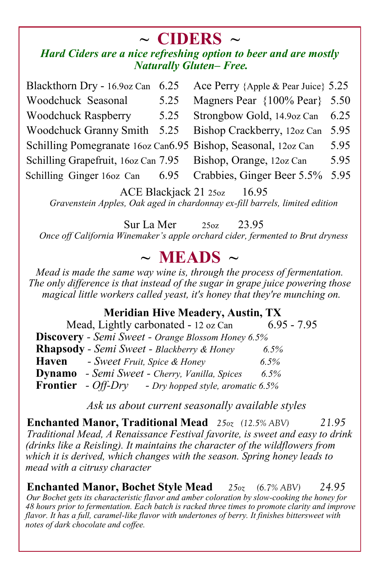# **~ CIDERS ~**

### *Hard Ciders are a nice refreshing option to beer and are mostly Naturally Gluten– Free.*

Blackthorn Dry - 16.9oz Can 6.25 Ace Perry {Apple & Pear Juice} 5.25 Woodchuck Seasonal 5.25 Magners Pear {100% Pear} 5.50 Woodchuck Raspberry 5.25 Strongbow Gold, 14.9oz Can 6.25 Woodchuck Granny Smith 5.25 Bishop Crackberry, 12oz Can 5.95 Schilling Pomegranate 16oz Can6.95 Bishop, Seasonal, 12oz Can 5.95 Schilling Grapefruit, 16oz Can 7.95 Bishop, Orange, 12oz Can 5.95 Schilling Ginger 16oz Can 6.95 Crabbies, Ginger Beer 5.5% 5.95

ACE Blackjack 21 25oz 16.95 *Gravenstein Apples, Oak aged in chardonnay ex-fill barrels, limited edition*

Sur La Mer 25oz 23.95 *Once off California Winemaker's apple orchard cider, fermented to Brut dryness*

### **~ MEADS ~**

*Mead is made the same way wine is, through the process of fermentation. The only difference is that instead of the sugar in grape juice powering those magical little workers called yeast, it's honey that they're munching on.* 

### **Meridian Hive Meadery, Austin, TX**

| Mead, Lightly carbonated - 12 oz Can                        | $6.95 - 7.95$ |
|-------------------------------------------------------------|---------------|
| <b>Discovery</b> - Semi Sweet - Orange Blossom Honey 6.5%   |               |
| Rhapsody - Semi Sweet - Blackberry & Honey                  | $6.5\%$       |
| Haven<br>- Sweet Fruit, Spice & Honey                       | $6.5\%$       |
| <b>Dynamo</b> - Semi Sweet - Cherry, Vanilla, Spices        | 6.5%          |
| <b>Frontier</b> - Off-Dry - Dry hopped style, aromatic 6.5% |               |

*Ask us about current seasonally available styles*

**Enchanted Manor, Traditional Mead** *25oz (12.5% ABV) 21.95 Traditional Mead, A Renaissance Festival favorite, is sweet and easy to drink (drinks like a Reisling). It maintains the character of the wildflowers from which it is derived, which changes with the season. Spring honey leads to mead with a citrusy character*

**Enchanted Manor, Bochet Style Mead** *25oz (6.7% ABV) 24.95 Our Bochet gets its characteristic flavor and amber coloration by slow-cooking the honey for 48 hours prior to fermentation. Each batch is racked three times to promote clarity and improve flavor. It has a full, caramel-like flavor with undertones of berry. It finishes bittersweet with notes of dark chocolate and coffee.*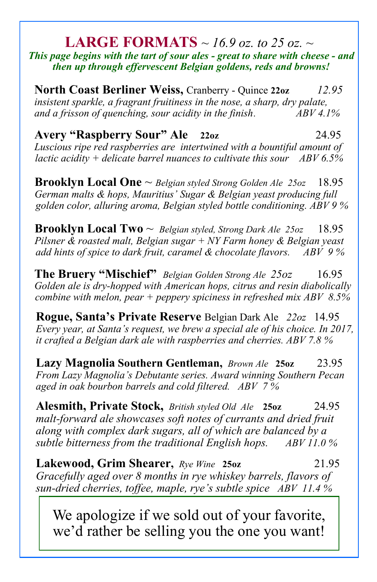#### **LARGE FORMATS** *~ 16.9 oz. to 25 oz. ~ This page begins with the tart of sour ales - great to share with cheese - and then up through effervescent Belgian goldens, reds and browns!*

**North Coast Berliner Weiss,** Cranberry - Quince **22oz** *12.95 insistent sparkle, a fragrant fruitiness in the nose, a sharp, dry palate, and a frisson of quenching, sour acidity in the finish*. *ABV 4.1%* 

**Avery "Raspberry Sour" Ale 22oz** 24.95 *Luscious ripe red raspberries are intertwined with a bountiful amount of lactic acidity + delicate barrel nuances to cultivate this sour ABV 6.5%* 

**Brooklyn Local One** ~ *Belgian styled Strong Golden Ale 25oz* 18.95 *German malts & hops, Mauritius' Sugar & Belgian yeast producing full golden color, alluring aroma, Belgian styled bottle conditioning. ABV 9 %*

**Brooklyn Local Two** ~ *Belgian styled, Strong Dark Ale 25oz* 18.95 *Pilsner & roasted malt, Belgian sugar + NY Farm honey & Belgian yeast add hints of spice to dark fruit, caramel & chocolate flavors. ABV 9 %*

**The Bruery "Mischief"** *Belgian Golden Strong Ale 25oz* 16.95 *Golden ale is dry-hopped with American hops, citrus and resin diabolically combine with melon, pear + peppery spiciness in refreshed mix ABV 8.5%*

**Rogue, Santa's Private Reserve** Belgian Dark Ale *22oz* 14.95 *Every year, at Santa's request, we brew a special ale of his choice. In 2017, it crafted a Belgian dark ale with raspberries and cherries. ABV 7.8 %*

**Lazy Magnolia Southern Gentleman,** *Brown Ale* **25oz** 23.95 *From Lazy Magnolia's Debutante series. Award winning Southern Pecan aged in oak bourbon barrels and cold filtered. ABV 7 %*

**Alesmith, Private Stock,** *British styled Old Ale* **25oz** 24.95 *malt-forward ale showcases soft notes of currants and dried fruit along with complex dark sugars, all of which are balanced by a subtle bitterness from the traditional English hops. ABV 11.0 %*

**Lakewood, Grim Shearer,** *Rye Wine* **25oz** 21.95 *Gracefully aged over 8 months in rye whiskey barrels, flavors of sun-dried cherries, toffee, maple, rye's subtle spice ABV 11.4 %*

We apologize if we sold out of your favorite, we'd rather be selling you the one you want!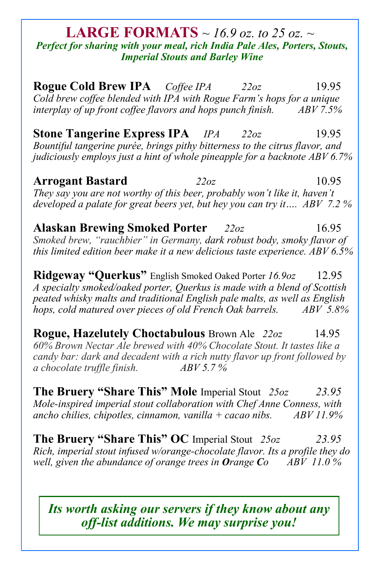#### **LARGE FORMATS** *~ 16.9 oz. to 25 oz. ~ Perfect for sharing with your meal, rich India Pale Ales, Porters, Stouts, Imperial Stouts and Barley Wine*

**Rogue Cold Brew IPA** *Coffee IPA 22oz* 19.95 *Cold brew coffee blended with IPA with Rogue Farm's hops for a unique interplay of up front coffee flavors and hops punch finish. ABV 7.5%* 

**Stone Tangerine Express IPA** *IPA 22oz* 19.95 *Bountiful tangerine purée, brings pithy bitterness to the citrus flavor, and judiciously employs just a hint of whole pineapple for a backnote ABV 6.7%* 

**Arrogant Bastard** *22oz* 10.95 *They say you are not worthy of this beer, probably won't like it, haven't developed a palate for great beers yet, but hey you can try it…. ABV 7.2 %*

**Alaskan Brewing Smoked Porter** *22oz*16.95 *Smoked brew, "rauchbier" in Germany, dark robust body, smoky flavor of this limited edition beer make it a new delicious taste experience. ABV 6.5%* 

**Ridgeway "Querkus"** English Smoked Oaked Porter *16.9oz* 12.95 *A specialty smoked/oaked porter, Querkus is made with a blend of Scottish peated whisky malts and traditional English pale malts, as well as English hops, cold matured over pieces of old French Oak barrels. ABV 5.8%*

**Rogue, Hazelutely Choctabulous** Brown Ale *22oz* 14.95 *60% Brown Nectar Ale brewed with 40% Chocolate Stout. It tastes like a candy bar: dark and decadent with a rich nutty flavor up front followed by a chocolate truffle finish. ABV 5.7 %*

**The Bruery "Share This" Mole** Imperial Stout *25oz 23.95 Mole-inspired imperial stout collaboration with Chef Anne Conness, with ancho chilies, chipotles, cinnamon, vanilla + cacao nibs. ABV 11.9%*

**The Bruery "Share This" OC** Imperial Stout *25oz 23.95 Rich, imperial stout infused w/orange-chocolate flavor. Its a profile they do well, given the abundance of orange trees in Orange Co ABV 11.0 %*

*Its worth asking our servers if they know about any off-list additions. We may surprise you!*